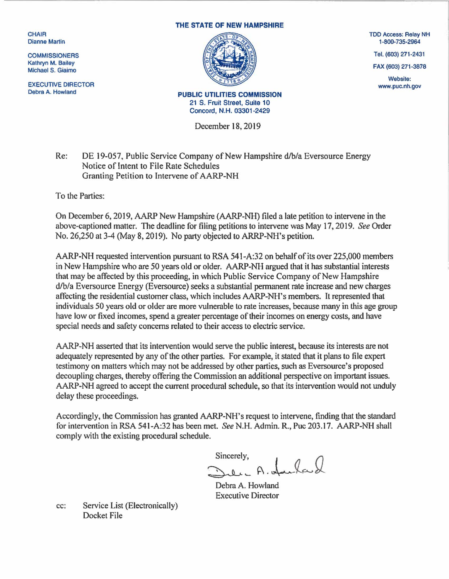**CHAIR** Dianne Martin

**COMMISSIONERS** Kathryn M. Bailey Michael S. Giaimo

EXECUTIVE DIRECTOR Debra A. Howland

## THE STATE OF NEW HAMPSHIRE



PUBLIC UTILITIES COMMISSION 21 S. Fruit Street, Suite 10 Concord, N.H. 03301-2429

December 18, 2019

## Re: DE 19-057, Public Service Company of New Hampshire d/b/a Eversource Energy Notice of Intent to File Rate Schedules Granting Petition to Intervene of AARP-NH

To the Parties:

On December 6, 2019, AARP New Hampshire (AARP-NH) filed a late petition to intervene in the above-captioned matter. The deadline for filing petitions to intervene was May 17, 2019. *See* Order No. 26,250 at 3-4 (May 8, 2019). No party objected to ARRP-NH's petition.

AARP-NH requested intervention pursuant to RSA 541-A:32 on behalf of its over 225,000 members in New Hampshire who are 50 years old or older. AARP-NH argued that it has substantial interests that may be affected by this proceeding, in which Public Service Company of New Hampshire d/b/a Eversource Energy (Eversource) seeks a substantial permanent rate increase and new charges affecting the residential customer class, which includes AARP-NH's members. It represented that individuals 50 years old or older are more vulnerable to rate increases, because many in this age group have low or fixed incomes, spend a greater percentage of their incomes on energy costs, and have special needs and safety concerns related to their access to electric service.

AARP-NH asserted that its intervention would serve the public interest, because its interests are not adequately represented by any of the other parties. For example, it stated that it plans to file expert testimony on matters which may not be addressed by other parties, such as Eversource's proposed decoupling charges, thereby offering the Commission an additional perspective on important issues. AARP-NH agreed to accept the current procedural schedule, so that its intervention would not unduly delay these proceedings.

Accordingly, the Commission has granted AARP-NH's request to intervene, finding that the standard for intervention in RSA 54 l-A:32 has been met. *See* N.H. Admin. R., Puc 203.17. AARP-NH shall comply with the existing procedural schedule.

Sincerely,<br>Sule, A. Jacka &

Debra A. Howland Executive Director

cc: Service List (Electronically) Docket File

TDD Access: Relay NH 1-800-735-2964

Tel. (603) 271-2431

FAX (603) 271-3878

Website: www.puc.nh.gov